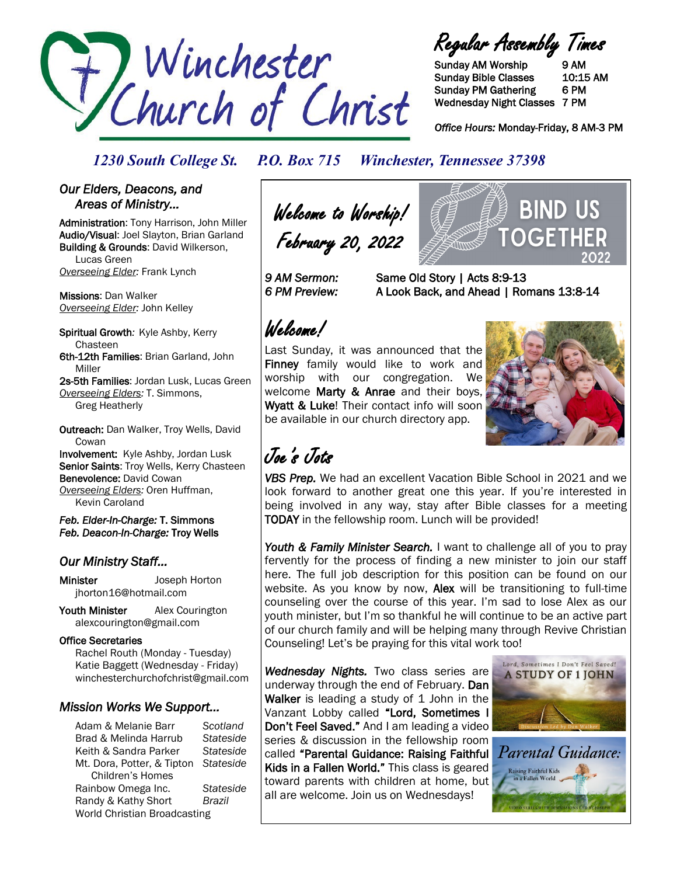

Regular Assembly Times

Sunday AM Worship 9 AM Sunday Bible Classes 10:15 AM Sunday PM Gathering 6 PM Wednesday Night Classes 7 PM

*Office Hours:* Monday-Friday, 8 AM-3 PM

## *1230 South College St. P.O. Box 715 Winchester, Tennessee 37398*

### *Our Elders, Deacons, and Areas of Ministry…*

Administration: Tony Harrison, John Miller Audio/Visual: Joel Slayton, Brian Garland Building & Grounds: David Wilkerson, Lucas Green *Overseeing Elder:* Frank Lynch

Missions: Dan Walker *Overseeing Elder:* John Kelley

Spiritual Growth*:* Kyle Ashby, Kerry Chasteen 6th-12th Families: Brian Garland, John Miller

2s-5th Families: Jordan Lusk, Lucas Green *Overseeing Elders:* T. Simmons, Greg Heatherly

Outreach: Dan Walker, Troy Wells, David **Cowan** Involvement: Kyle Ashby, Jordan Lusk Senior Saints: Troy Wells, Kerry Chasteen Benevolence: David Cowan

*Overseeing Elders:* Oren Huffman, Kevin Caroland

*Feb. Elder-In-Charge:* T. Simmons *Feb. Deacon-In-Charge:* Troy Wells

### *Our Ministry Staff…*

Minister Joseph Horton jhorton16@hotmail.com

Youth Minister Alex Courington alexcourington@gmail.com

### Office Secretaries

 Rachel Routh (Monday - Tuesday) Katie Baggett (Wednesday - Friday) winchesterchurchofchrist@gmail.com

### *Mission Works We Support…*

Adam & Melanie Barr *Scotland* Brad & Melinda Harrub *Stateside* Keith & Sandra Parker *Stateside* Mt. Dora, Potter, & Tipton *Stateside* Children's Homes Rainbow Omega Inc. *Stateside* Randy & Kathy Short *Brazil* World Christian Broadcasting

Welcome to Worship! February 20, 2022

OGET *9 AM Sermon:* Same Old Story | Acts 8:9-13

*6 PM Preview:* A Look Back, and Ahead | Romans 13:8-14

# Welcome!

Last Sunday, it was announced that the Finney family would like to work and worship with our congregation. We welcome Marty & Anrae and their boys, Wyatt & Luke! Their contact info will soon be available in our church directory app.



BIND US

# Joe's Jots

*VBS Prep.* We had an excellent Vacation Bible School in 2021 and we look forward to another great one this year. If you're interested in being involved in any way, stay after Bible classes for a meeting TODAY in the fellowship room. Lunch will be provided!

Youth & Family Minister Search. I want to challenge all of you to pray fervently for the process of finding a new minister to join our staff here. The full job description for this position can be found on our website. As you know by now, **Alex** will be transitioning to full-time counseling over the course of this year. I'm sad to lose Alex as our youth minister, but I'm so thankful he will continue to be an active part of our church family and will be helping many through Revive Christian Counseling! Let's be praying for this vital work too!

*Wednesday Nights.* Two class series are underway through the end of February. Dan Walker is leading a study of 1 John in the Vanzant Lobby called "Lord, Sometimes I Don't Feel Saved." And I am leading a video series & discussion in the fellowship room called "Parental Guidance: Raising Faithful Kids in a Fallen World." This class is geared toward parents with children at home, but all are welcome. Join us on Wednesdays!